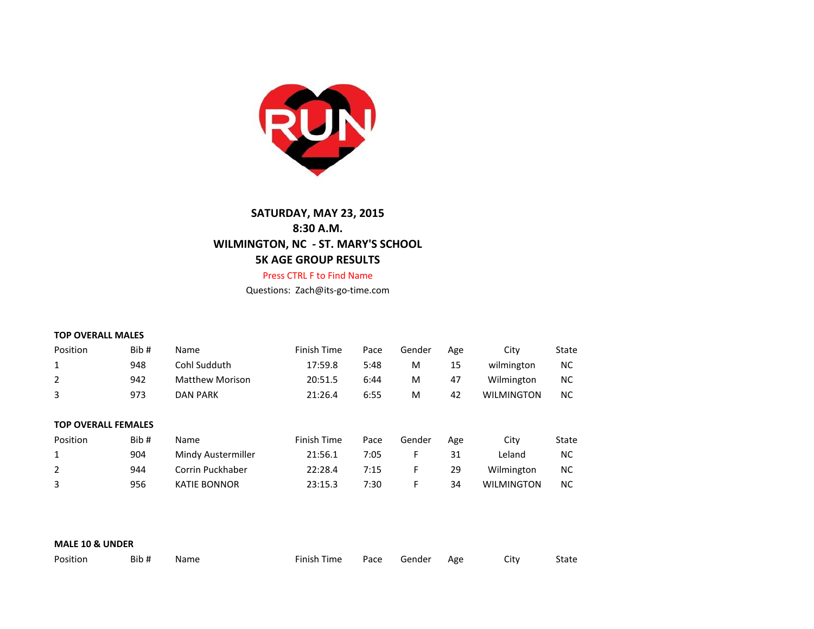

# **SATURDAY, MAY 23, 2015 8:30 A.M. WILMINGTON, NC - ST. MARY'S SCHOOL 5K AGE GROUP RESULTS**

## Press CTRL F to Find Name

Questions: Zach@its-go-time.com

#### **TOP OVERALL MALES**

| Position | Bib# | Name            | Finish Time | Pace | Gender | Age | Citv              | State |
|----------|------|-----------------|-------------|------|--------|-----|-------------------|-------|
|          | 948  | Cohl Sudduth    | 17:59.8     | 5:48 | M      | 15  | wilmington        | NС    |
|          | 942  | Matthew Morison | 20:51.5     | 6:44 | M      | 47  | Wilmington        | NС    |
|          | 973  | <b>DAN PARK</b> | 21:26.4     | 6:55 | м      | 42  | <b>WILMINGTON</b> | NС    |

## **TOP OVERALL FEMALES**

| Position | Bib# | <b>Name</b>        | Finish Time | Pace | Gender | Age | City              | State |
|----------|------|--------------------|-------------|------|--------|-----|-------------------|-------|
|          | 904  | Mindy Austermiller | 21:56.1     | 7:05 |        | 31  | Leland            | NС    |
|          | 944  | Corrin Puckhaber   | 22:28.4     | 7:15 |        | 29  | Wilmington        | ΝC    |
|          | 956  | KATIE BONNOR       | 23:15.3     | 7:30 |        | 34  | <b>WILMINGTON</b> | NС    |

# **MALE 10 & UNDER**

| Position | Bib# | Name | Finish Time | Pace | Gender | Age | City | State |
|----------|------|------|-------------|------|--------|-----|------|-------|
|----------|------|------|-------------|------|--------|-----|------|-------|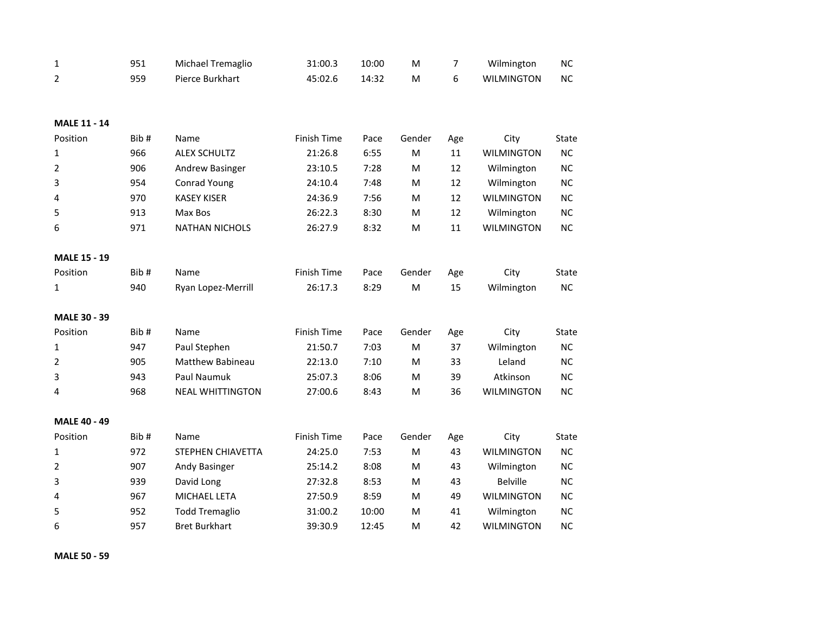| $\mathbf 1$         | 951  | Michael Tremaglio       | 31:00.3            | 10:00 | M      | 7   | Wilmington        | <b>NC</b> |
|---------------------|------|-------------------------|--------------------|-------|--------|-----|-------------------|-----------|
| $\overline{2}$      | 959  | Pierce Burkhart         | 45:02.6            | 14:32 | M      | 6   | <b>WILMINGTON</b> | <b>NC</b> |
|                     |      |                         |                    |       |        |     |                   |           |
|                     |      |                         |                    |       |        |     |                   |           |
| <b>MALE 11 - 14</b> |      |                         |                    |       |        |     |                   |           |
| Position            | Bib# | Name                    | <b>Finish Time</b> | Pace  | Gender | Age | City              | State     |
| $\mathbf{1}$        | 966  | <b>ALEX SCHULTZ</b>     | 21:26.8            | 6:55  | M      | 11  | <b>WILMINGTON</b> | <b>NC</b> |
| 2                   | 906  | Andrew Basinger         | 23:10.5            | 7:28  | M      | 12  | Wilmington        | <b>NC</b> |
| 3                   | 954  | Conrad Young            | 24:10.4            | 7:48  | M      | 12  | Wilmington        | <b>NC</b> |
| 4                   | 970  | <b>KASEY KISER</b>      | 24:36.9            | 7:56  | M      | 12  | <b>WILMINGTON</b> | <b>NC</b> |
| 5                   | 913  | Max Bos                 | 26:22.3            | 8:30  | M      | 12  | Wilmington        | <b>NC</b> |
| 6                   | 971  | <b>NATHAN NICHOLS</b>   | 26:27.9            | 8:32  | M      | 11  | <b>WILMINGTON</b> | <b>NC</b> |
| <b>MALE 15 - 19</b> |      |                         |                    |       |        |     |                   |           |
| Position            | Bib# | Name                    | Finish Time        | Pace  | Gender | Age | City              | State     |
| $\mathbf{1}$        | 940  | Ryan Lopez-Merrill      | 26:17.3            | 8:29  | M      | 15  | Wilmington        | NC        |
|                     |      |                         |                    |       |        |     |                   |           |
| <b>MALE 30 - 39</b> |      |                         |                    |       |        |     |                   |           |
| Position            | Bib# | Name                    | Finish Time        | Pace  | Gender | Age | City              | State     |
| 1                   | 947  | Paul Stephen            | 21:50.7            | 7:03  | M      | 37  | Wilmington        | NC        |
| 2                   | 905  | <b>Matthew Babineau</b> | 22:13.0            | 7:10  | M      | 33  | Leland            | <b>NC</b> |
| 3                   | 943  | Paul Naumuk             | 25:07.3            | 8:06  | M      | 39  | Atkinson          | <b>NC</b> |
| 4                   | 968  | <b>NEAL WHITTINGTON</b> | 27:00.6            | 8:43  | M      | 36  | <b>WILMINGTON</b> | <b>NC</b> |
| <b>MALE 40 - 49</b> |      |                         |                    |       |        |     |                   |           |
| Position            | Bib# | Name                    | Finish Time        | Pace  | Gender | Age | City              | State     |
| $\mathbf{1}$        | 972  | STEPHEN CHIAVETTA       | 24:25.0            | 7:53  | M      | 43  | <b>WILMINGTON</b> | <b>NC</b> |
| 2                   | 907  | Andy Basinger           | 25:14.2            | 8:08  | M      | 43  | Wilmington        | <b>NC</b> |
| 3                   | 939  | David Long              | 27:32.8            | 8:53  | M      | 43  | <b>Belville</b>   | <b>NC</b> |
| 4                   | 967  | MICHAEL LETA            | 27:50.9            | 8:59  | M      | 49  | <b>WILMINGTON</b> | <b>NC</b> |
| 5                   | 952  | <b>Todd Tremaglio</b>   | 31:00.2            | 10:00 | М      | 41  | Wilmington        | <b>NC</b> |
|                     | 957  | <b>Bret Burkhart</b>    | 39:30.9            |       |        | 42  | <b>WILMINGTON</b> | <b>NC</b> |
| 6                   |      |                         |                    | 12:45 | M      |     |                   |           |

**MALE 50 - 59**